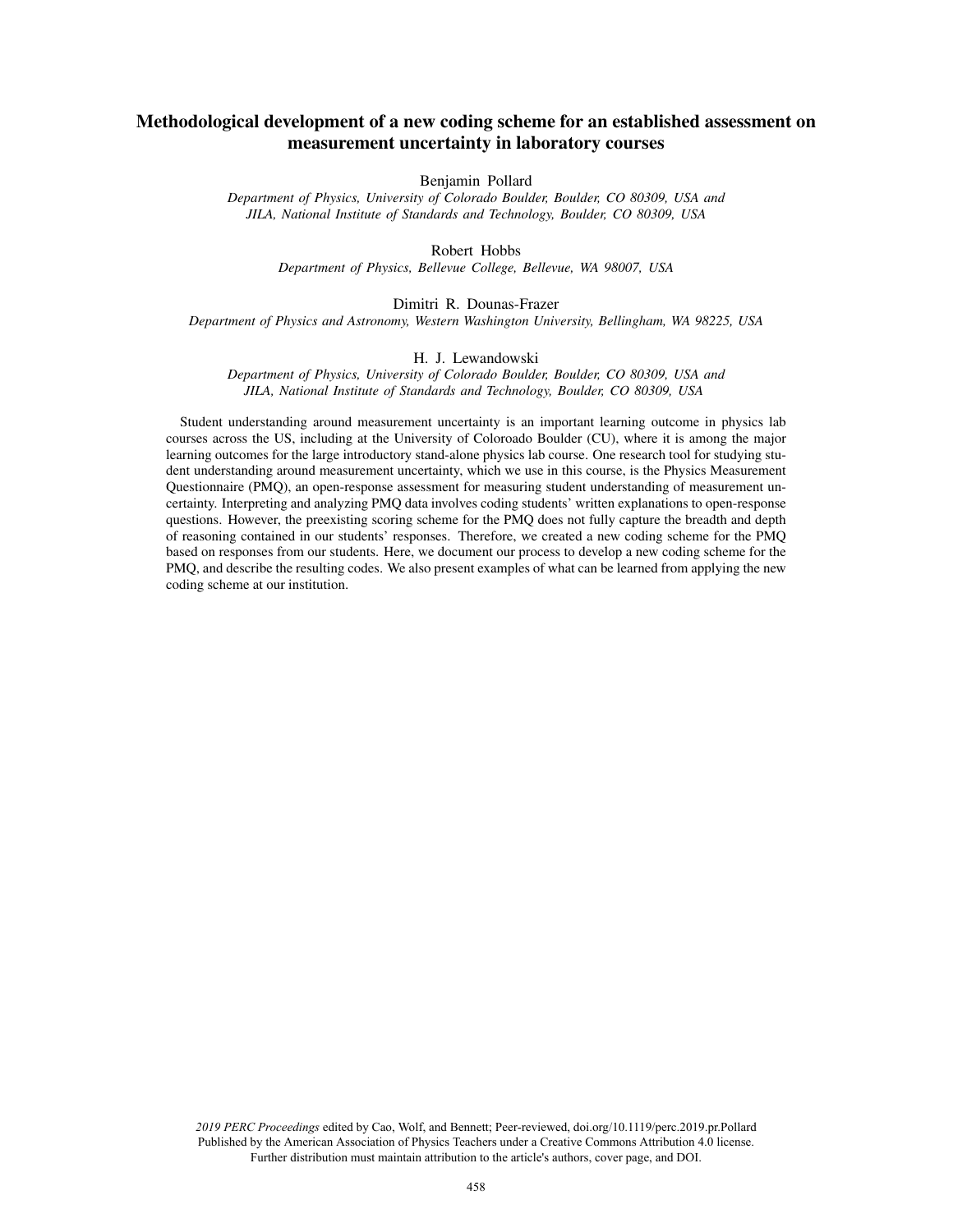# Methodological development of a new coding scheme for an established assessment on measurement uncertainty in laboratory courses

Benjamin Pollard

*Department of Physics, University of Colorado Boulder, Boulder, CO 80309, USA and JILA, National Institute of Standards and Technology, Boulder, CO 80309, USA*

Robert Hobbs

*Department of Physics, Bellevue College, Bellevue, WA 98007, USA*

# Dimitri R. Dounas-Frazer

*Department of Physics and Astronomy, Western Washington University, Bellingham, WA 98225, USA*

# H. J. Lewandowski

*Department of Physics, University of Colorado Boulder, Boulder, CO 80309, USA and JILA, National Institute of Standards and Technology, Boulder, CO 80309, USA*

Student understanding around measurement uncertainty is an important learning outcome in physics lab courses across the US, including at the University of Coloroado Boulder (CU), where it is among the major learning outcomes for the large introductory stand-alone physics lab course. One research tool for studying student understanding around measurement uncertainty, which we use in this course, is the Physics Measurement Questionnaire (PMQ), an open-response assessment for measuring student understanding of measurement uncertainty. Interpreting and analyzing PMQ data involves coding students' written explanations to open-response questions. However, the preexisting scoring scheme for the PMQ does not fully capture the breadth and depth of reasoning contained in our students' responses. Therefore, we created a new coding scheme for the PMQ based on responses from our students. Here, we document our process to develop a new coding scheme for the PMQ, and describe the resulting codes. We also present examples of what can be learned from applying the new coding scheme at our institution.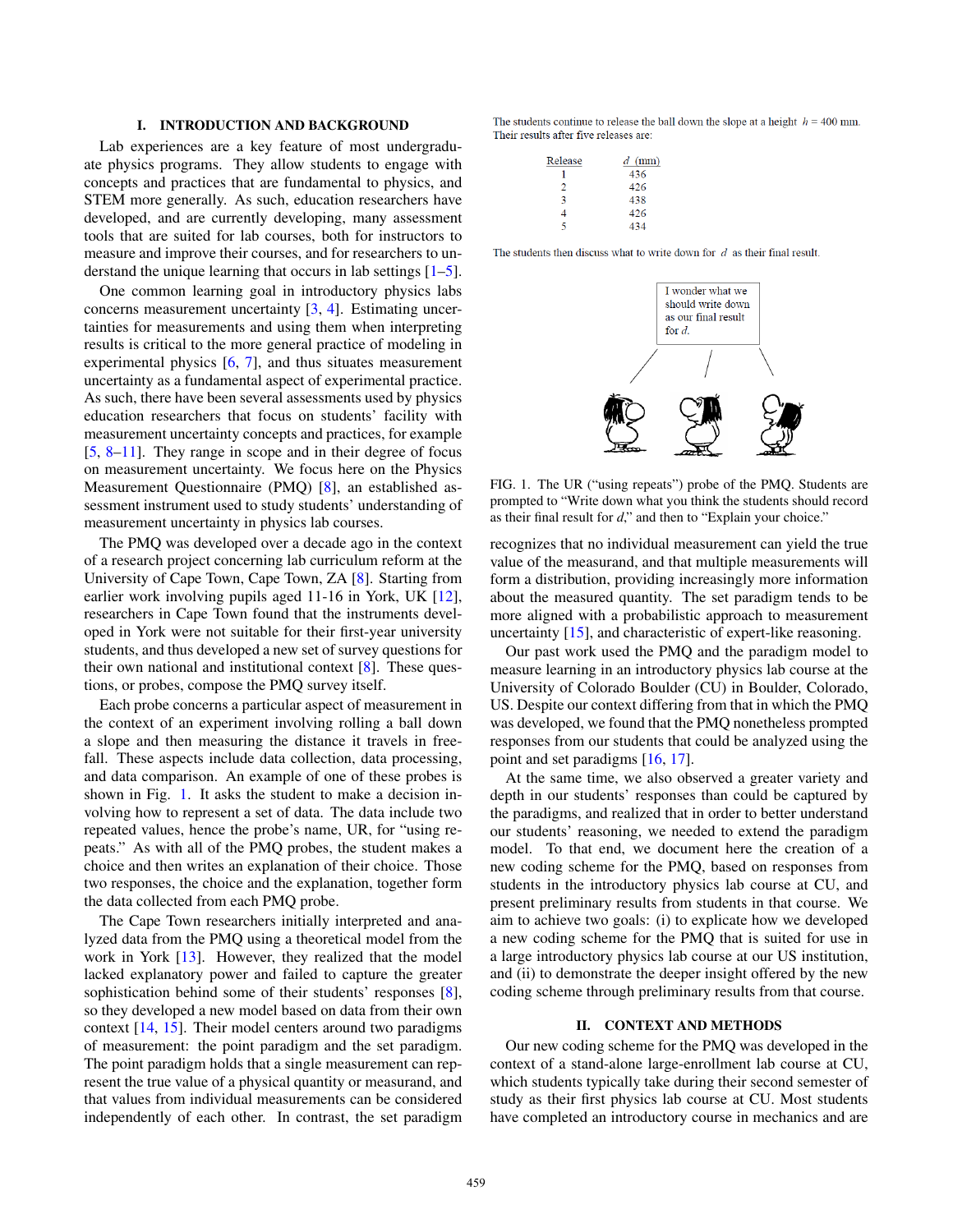# I. INTRODUCTION AND BACKGROUND

Lab experiences are a key feature of most undergraduate physics programs. They allow students to engage with concepts and practices that are fundamental to physics, and STEM more generally. As such, education researchers have developed, and are currently developing, many assessment tools that are suited for lab courses, both for instructors to measure and improve their courses, and for researchers to understand the unique learning that occurs in lab settings [1–5].

One common learning goal in introductory physics labs concerns measurement uncertainty [3, 4]. Estimating uncertainties for measurements and using them when interpreting results is critical to the more general practice of modeling in experimental physics [6, 7], and thus situates measurement uncertainty as a fundamental aspect of experimental practice. As such, there have been several assessments used by physics education researchers that focus on students' facility with measurement uncertainty concepts and practices, for example [5, 8–11]. They range in scope and in their degree of focus on measurement uncertainty. We focus here on the Physics Measurement Questionnaire (PMQ) [8], an established assessment instrument used to study students' understanding of measurement uncertainty in physics lab courses.

The PMQ was developed over a decade ago in the context of a research project concerning lab curriculum reform at the University of Cape Town, Cape Town, ZA [8]. Starting from earlier work involving pupils aged 11-16 in York, UK [12], researchers in Cape Town found that the instruments developed in York were not suitable for their first-year university students, and thus developed a new set of survey questions for their own national and institutional context [8]. These questions, or probes, compose the PMQ survey itself.

Each probe concerns a particular aspect of measurement in the context of an experiment involving rolling a ball down a slope and then measuring the distance it travels in freefall. These aspects include data collection, data processing, and data comparison. An example of one of these probes is shown in Fig. [1.](#page-1-0) It asks the student to make a decision involving how to represent a set of data. The data include two repeated values, hence the probe's name, UR, for "using repeats." As with all of the PMQ probes, the student makes a choice and then writes an explanation of their choice. Those two responses, the choice and the explanation, together form the data collected from each PMQ probe.

The Cape Town researchers initially interpreted and analyzed data from the PMQ using a theoretical model from the work in York [13]. However, they realized that the model lacked explanatory power and failed to capture the greater sophistication behind some of their students' responses [8], so they developed a new model based on data from their own context [14, 15]. Their model centers around two paradigms of measurement: the point paradigm and the set paradigm. The point paradigm holds that a single measurement can represent the true value of a physical quantity or measurand, and that values from individual measurements can be considered independently of each other. In contrast, the set paradigm The students continue to release the ball down the slope at a height  $h = 400$  mm. Their results after five releases are:

| $d$ (mm) |
|----------|
| 436      |
| 426      |
| 438      |
| 426      |
| 434      |
|          |

Rei

The students then discuss what to write down for  $d$  as their final result.



<span id="page-1-0"></span>FIG. 1. The UR ("using repeats") probe of the PMQ. Students are prompted to "Write down what you think the students should record as their final result for *d*," and then to "Explain your choice."

recognizes that no individual measurement can yield the true value of the measurand, and that multiple measurements will form a distribution, providing increasingly more information about the measured quantity. The set paradigm tends to be more aligned with a probabilistic approach to measurement uncertainty [15], and characteristic of expert-like reasoning.

Our past work used the PMQ and the paradigm model to measure learning in an introductory physics lab course at the University of Colorado Boulder (CU) in Boulder, Colorado, US. Despite our context differing from that in which the PMQ was developed, we found that the PMQ nonetheless prompted responses from our students that could be analyzed using the point and set paradigms [16, 17].

At the same time, we also observed a greater variety and depth in our students' responses than could be captured by the paradigms, and realized that in order to better understand our students' reasoning, we needed to extend the paradigm model. To that end, we document here the creation of a new coding scheme for the PMQ, based on responses from students in the introductory physics lab course at CU, and present preliminary results from students in that course. We aim to achieve two goals: (i) to explicate how we developed a new coding scheme for the PMQ that is suited for use in a large introductory physics lab course at our US institution, and (ii) to demonstrate the deeper insight offered by the new coding scheme through preliminary results from that course.

#### II. CONTEXT AND METHODS

Our new coding scheme for the PMQ was developed in the context of a stand-alone large-enrollment lab course at CU, which students typically take during their second semester of study as their first physics lab course at CU. Most students have completed an introductory course in mechanics and are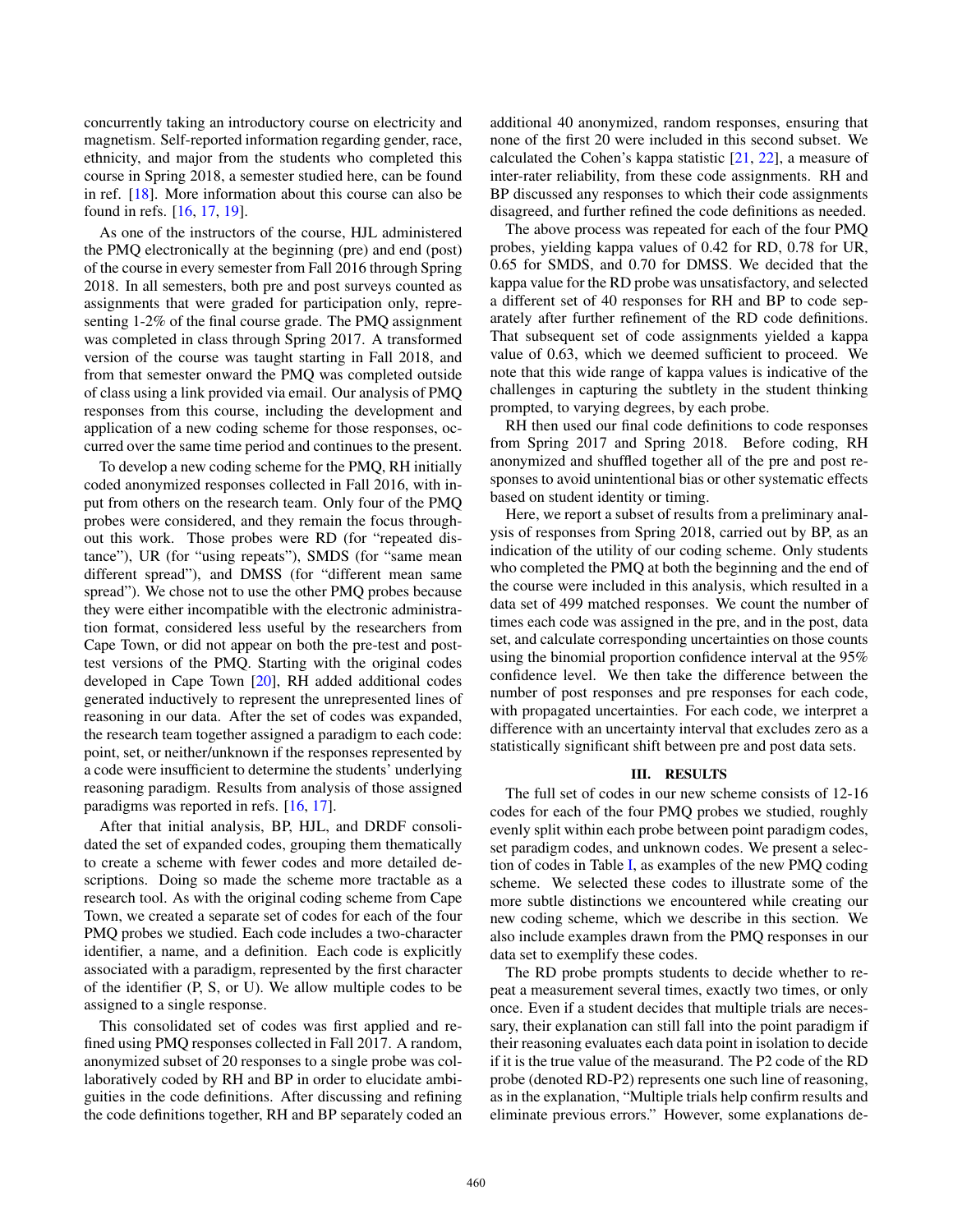concurrently taking an introductory course on electricity and magnetism. Self-reported information regarding gender, race, ethnicity, and major from the students who completed this course in Spring 2018, a semester studied here, can be found in ref. [18]. More information about this course can also be found in refs. [16, 17, 19].

As one of the instructors of the course, HJL administered the PMQ electronically at the beginning (pre) and end (post) of the course in every semester from Fall 2016 through Spring 2018. In all semesters, both pre and post surveys counted as assignments that were graded for participation only, representing 1-2% of the final course grade. The PMQ assignment was completed in class through Spring 2017. A transformed version of the course was taught starting in Fall 2018, and from that semester onward the PMQ was completed outside of class using a link provided via email. Our analysis of PMQ responses from this course, including the development and application of a new coding scheme for those responses, occurred over the same time period and continues to the present.

To develop a new coding scheme for the PMQ, RH initially coded anonymized responses collected in Fall 2016, with input from others on the research team. Only four of the PMQ probes were considered, and they remain the focus throughout this work. Those probes were RD (for "repeated distance"), UR (for "using repeats"), SMDS (for "same mean different spread"), and DMSS (for "different mean same spread"). We chose not to use the other PMQ probes because they were either incompatible with the electronic administration format, considered less useful by the researchers from Cape Town, or did not appear on both the pre-test and posttest versions of the PMQ. Starting with the original codes developed in Cape Town [20], RH added additional codes generated inductively to represent the unrepresented lines of reasoning in our data. After the set of codes was expanded, the research team together assigned a paradigm to each code: point, set, or neither/unknown if the responses represented by a code were insufficient to determine the students' underlying reasoning paradigm. Results from analysis of those assigned paradigms was reported in refs. [16, 17].

After that initial analysis, BP, HJL, and DRDF consolidated the set of expanded codes, grouping them thematically to create a scheme with fewer codes and more detailed descriptions. Doing so made the scheme more tractable as a research tool. As with the original coding scheme from Cape Town, we created a separate set of codes for each of the four PMQ probes we studied. Each code includes a two-character identifier, a name, and a definition. Each code is explicitly associated with a paradigm, represented by the first character of the identifier (P, S, or U). We allow multiple codes to be assigned to a single response.

This consolidated set of codes was first applied and refined using PMQ responses collected in Fall 2017. A random, anonymized subset of 20 responses to a single probe was collaboratively coded by RH and BP in order to elucidate ambiguities in the code definitions. After discussing and refining the code definitions together, RH and BP separately coded an additional 40 anonymized, random responses, ensuring that none of the first 20 were included in this second subset. We calculated the Cohen's kappa statistic [21, 22], a measure of inter-rater reliability, from these code assignments. RH and BP discussed any responses to which their code assignments disagreed, and further refined the code definitions as needed.

The above process was repeated for each of the four PMQ probes, yielding kappa values of 0.42 for RD, 0.78 for UR, 0.65 for SMDS, and 0.70 for DMSS. We decided that the kappa value for the RD probe was unsatisfactory, and selected a different set of 40 responses for RH and BP to code separately after further refinement of the RD code definitions. That subsequent set of code assignments yielded a kappa value of 0.63, which we deemed sufficient to proceed. We note that this wide range of kappa values is indicative of the challenges in capturing the subtlety in the student thinking prompted, to varying degrees, by each probe.

RH then used our final code definitions to code responses from Spring 2017 and Spring 2018. Before coding, RH anonymized and shuffled together all of the pre and post responses to avoid unintentional bias or other systematic effects based on student identity or timing.

Here, we report a subset of results from a preliminary analysis of responses from Spring 2018, carried out by BP, as an indication of the utility of our coding scheme. Only students who completed the PMQ at both the beginning and the end of the course were included in this analysis, which resulted in a data set of 499 matched responses. We count the number of times each code was assigned in the pre, and in the post, data set, and calculate corresponding uncertainties on those counts using the binomial proportion confidence interval at the 95% confidence level. We then take the difference between the number of post responses and pre responses for each code, with propagated uncertainties. For each code, we interpret a difference with an uncertainty interval that excludes zero as a statistically significant shift between pre and post data sets.

#### III. RESULTS

The full set of codes in our new scheme consists of 12-16 codes for each of the four PMQ probes we studied, roughly evenly split within each probe between point paradigm codes, set paradigm codes, and unknown codes. We present a selection of codes in Table I, as examples of the new PMQ coding scheme. We selected these codes to illustrate some of the more subtle distinctions we encountered while creating our new coding scheme, which we describe in this section. We also include examples drawn from the PMQ responses in our data set to exemplify these codes.

The RD probe prompts students to decide whether to repeat a measurement several times, exactly two times, or only once. Even if a student decides that multiple trials are necessary, their explanation can still fall into the point paradigm if their reasoning evaluates each data point in isolation to decide if it is the true value of the measurand. The P2 code of the RD probe (denoted RD-P2) represents one such line of reasoning, as in the explanation, "Multiple trials help confirm results and eliminate previous errors." However, some explanations de-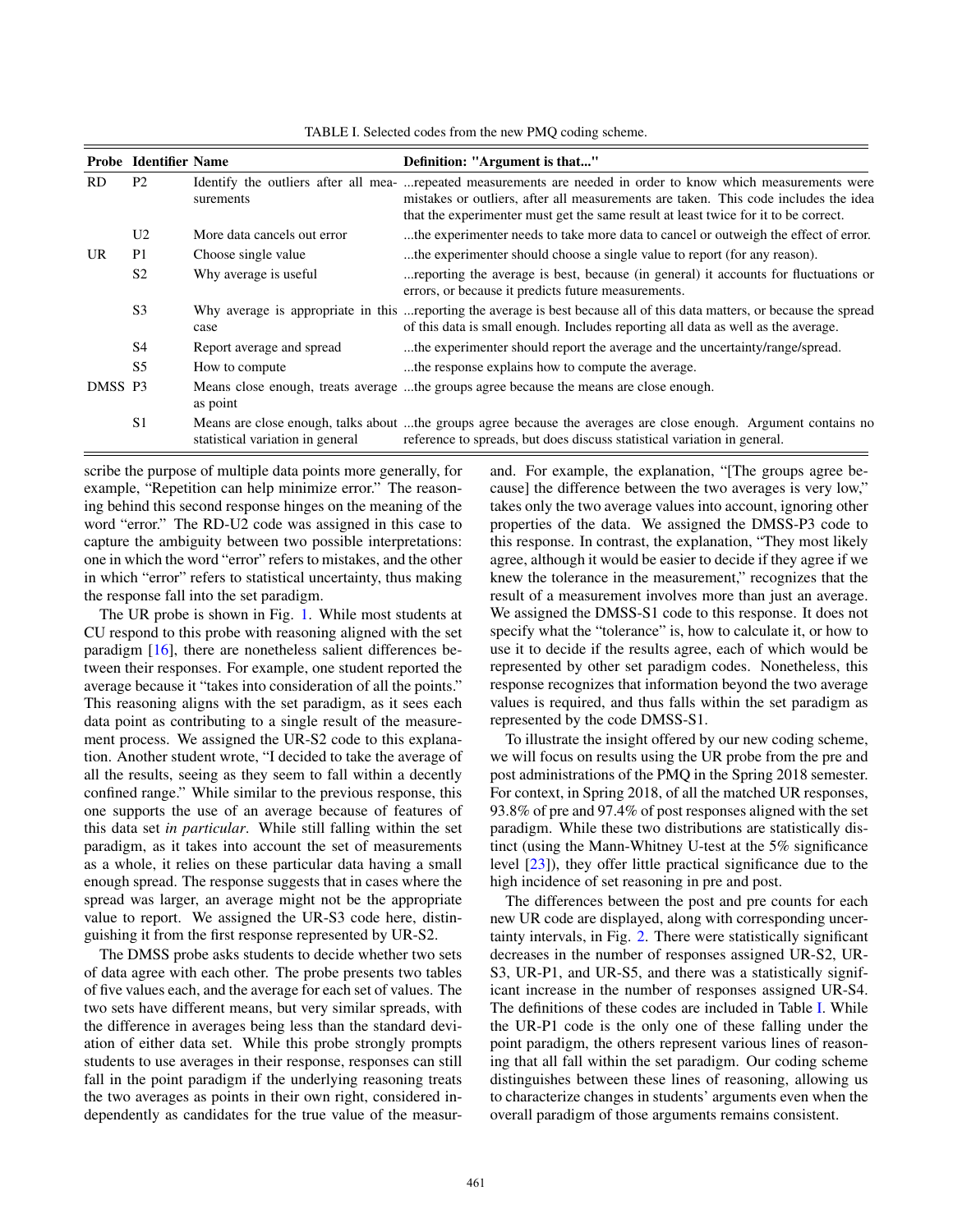|           | <b>Probe Identifier Name</b> |                                  | Definition: "Argument is that"                                                                                                                                                                                                                                                               |
|-----------|------------------------------|----------------------------------|----------------------------------------------------------------------------------------------------------------------------------------------------------------------------------------------------------------------------------------------------------------------------------------------|
| <b>RD</b> | P <sub>2</sub>               | surements                        | Identify the outliers after all mea- repeated measurements are needed in order to know which measurements were<br>mistakes or outliers, after all measurements are taken. This code includes the idea<br>that the experimenter must get the same result at least twice for it to be correct. |
| UR.       | U <sub>2</sub>               | More data cancels out error      | the experimenter needs to take more data to cancel or outweigh the effect of error.                                                                                                                                                                                                          |
|           | P <sub>1</sub>               | Choose single value              | the experimenter should choose a single value to report (for any reason).                                                                                                                                                                                                                    |
|           | S <sub>2</sub>               | Why average is useful.           | reporting the average is best, because (in general) it accounts for fluctuations or<br>errors, or because it predicts future measurements.                                                                                                                                                   |
|           | S <sub>3</sub>               | case                             | Why average is appropriate in this  reporting the average is best because all of this data matters, or because the spread<br>of this data is small enough. Includes reporting all data as well as the average.                                                                               |
|           | S <sub>4</sub>               | Report average and spread        | the experimenter should report the average and the uncertainty/range/spread.                                                                                                                                                                                                                 |
|           | S <sub>5</sub>               | How to compute                   | the response explains how to compute the average.                                                                                                                                                                                                                                            |
| DMSS P3   |                              | as point                         | Means close enough, treats average the groups agree because the means are close enough.                                                                                                                                                                                                      |
|           | S <sub>1</sub>               | statistical variation in general | Means are close enough, talks about the groups agree because the averages are close enough. Argument contains no<br>reference to spreads, but does discuss statistical variation in general.                                                                                                 |

<span id="page-3-0"></span>TABLE I. Selected codes from the new PMQ coding scheme.

scribe the purpose of multiple data points more generally, for example, "Repetition can help minimize error." The reasoning behind this second response hinges on the meaning of the word "error." The RD-U2 code was assigned in this case to capture the ambiguity between two possible interpretations: one in which the word "error" refers to mistakes, and the other in which "error" refers to statistical uncertainty, thus making the response fall into the set paradigm.

The UR probe is shown in Fig. 1. While most students at CU respond to this probe with reasoning aligned with the set paradigm [16], there are nonetheless salient differences between their responses. For example, one student reported the average because it "takes into consideration of all the points." This reasoning aligns with the set paradigm, as it sees each data point as contributing to a single result of the measurement process. We assigned the UR-S2 code to this explanation. Another student wrote, "I decided to take the average of all the results, seeing as they seem to fall within a decently confined range." While similar to the previous response, this one supports the use of an average because of features of this data set *in particular*. While still falling within the set paradigm, as it takes into account the set of measurements as a whole, it relies on these particular data having a small enough spread. The response suggests that in cases where the spread was larger, an average might not be the appropriate value to report. We assigned the UR-S3 code here, distinguishing it from the first response represented by UR-S2.

The DMSS probe asks students to decide whether two sets of data agree with each other. The probe presents two tables of five values each, and the average for each set of values. The two sets have different means, but very similar spreads, with the difference in averages being less than the standard deviation of either data set. While this probe strongly prompts students to use averages in their response, responses can still fall in the point paradigm if the underlying reasoning treats the two averages as points in their own right, considered independently as candidates for the true value of the measurand. For example, the explanation, "[The groups agree because] the difference between the two averages is very low," takes only the two average values into account, ignoring other properties of the data. We assigned the DMSS-P3 code to this response. In contrast, the explanation, "They most likely agree, although it would be easier to decide if they agree if we knew the tolerance in the measurement," recognizes that the result of a measurement involves more than just an average. We assigned the DMSS-S1 code to this response. It does not specify what the "tolerance" is, how to calculate it, or how to use it to decide if the results agree, each of which would be represented by other set paradigm codes. Nonetheless, this response recognizes that information beyond the two average values is required, and thus falls within the set paradigm as represented by the code DMSS-S1.

To illustrate the insight offered by our new coding scheme, we will focus on results using the UR probe from the pre and post administrations of the PMQ in the Spring 2018 semester. For context, in Spring 2018, of all the matched UR responses, 93.8% of pre and 97.4% of post responses aligned with the set paradigm. While these two distributions are statistically distinct (using the Mann-Whitney U-test at the 5% significance level [23]), they offer little practical significance due to the high incidence of set reasoning in pre and post.

The differences between the post and pre counts for each new UR code are displayed, along with corresponding uncertainty intervals, in Fig. 2. There were statistically significant decreases in the number of responses assigned UR-S2, UR-S3, UR-P1, and UR-S5, and there was a statistically significant increase in the number of responses assigned UR-S4. The definitions of these codes are included in Table [I.](#page-3-0) While the UR-P1 code is the only one of these falling under the point paradigm, the others represent various lines of reasoning that all fall within the set paradigm. Our coding scheme distinguishes between these lines of reasoning, allowing us to characterize changes in students' arguments even when the overall paradigm of those arguments remains consistent.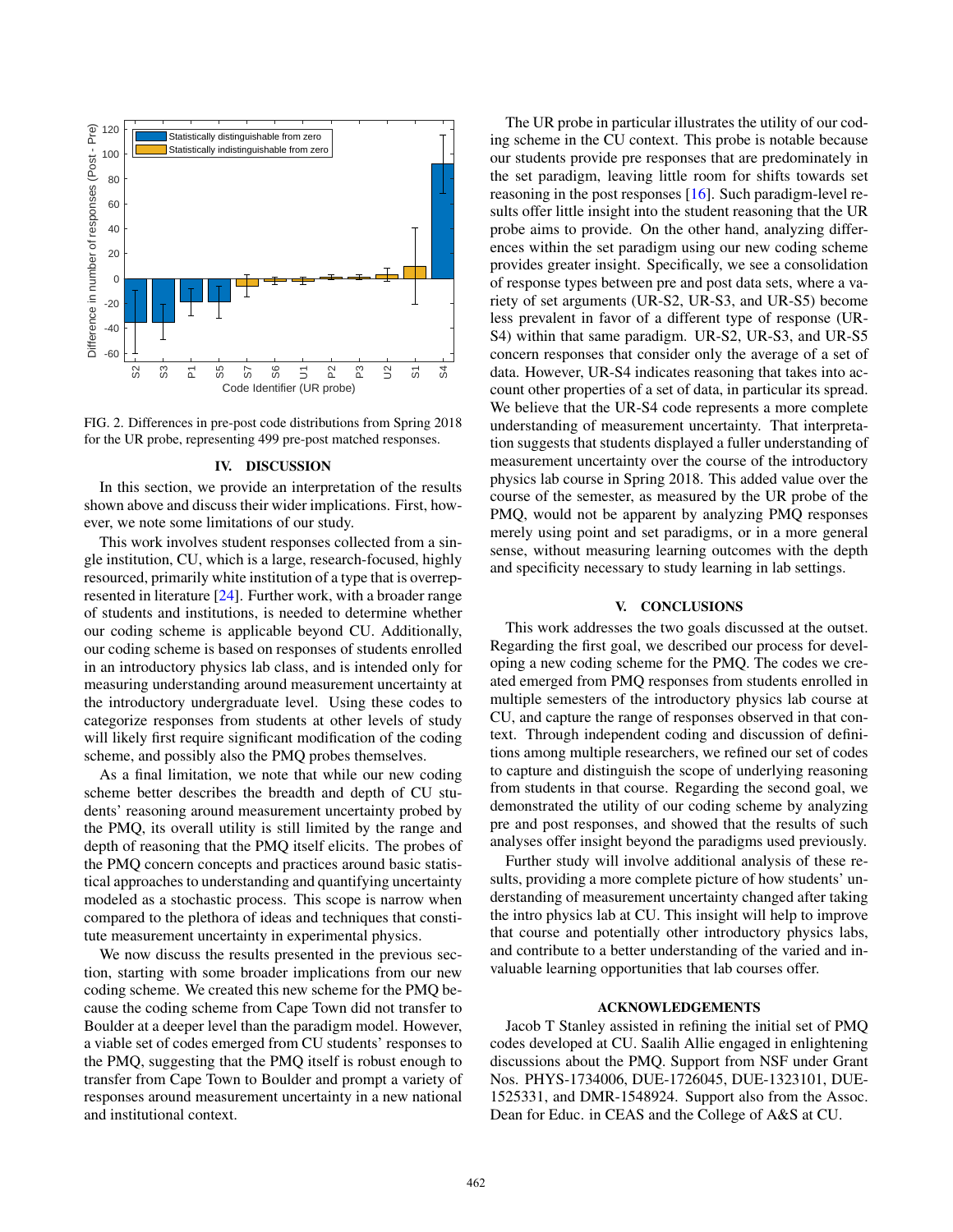

FIG. 2. Differences in pre-post code distributions from Spring 2018 for the UR probe, representing 499 pre-post matched responses.

#### IV. DISCUSSION

In this section, we provide an interpretation of the results shown above and discuss their wider implications. First, however, we note some limitations of our study.

This work involves student responses collected from a single institution, CU, which is a large, research-focused, highly resourced, primarily white institution of a type that is overrepresented in literature [24]. Further work, with a broader range of students and institutions, is needed to determine whether our coding scheme is applicable beyond CU. Additionally, our coding scheme is based on responses of students enrolled in an introductory physics lab class, and is intended only for measuring understanding around measurement uncertainty at the introductory undergraduate level. Using these codes to categorize responses from students at other levels of study will likely first require significant modification of the coding scheme, and possibly also the PMQ probes themselves.

As a final limitation, we note that while our new coding scheme better describes the breadth and depth of CU students' reasoning around measurement uncertainty probed by the PMQ, its overall utility is still limited by the range and depth of reasoning that the PMQ itself elicits. The probes of the PMQ concern concepts and practices around basic statistical approaches to understanding and quantifying uncertainty modeled as a stochastic process. This scope is narrow when compared to the plethora of ideas and techniques that constitute measurement uncertainty in experimental physics.

We now discuss the results presented in the previous section, starting with some broader implications from our new coding scheme. We created this new scheme for the PMQ because the coding scheme from Cape Town did not transfer to Boulder at a deeper level than the paradigm model. However, a viable set of codes emerged from CU students' responses to the PMQ, suggesting that the PMQ itself is robust enough to transfer from Cape Town to Boulder and prompt a variety of responses around measurement uncertainty in a new national and institutional context.

The UR probe in particular illustrates the utility of our coding scheme in the CU context. This probe is notable because our students provide pre responses that are predominately in the set paradigm, leaving little room for shifts towards set reasoning in the post responses [16]. Such paradigm-level results offer little insight into the student reasoning that the UR probe aims to provide. On the other hand, analyzing differences within the set paradigm using our new coding scheme provides greater insight. Specifically, we see a consolidation of response types between pre and post data sets, where a variety of set arguments (UR-S2, UR-S3, and UR-S5) become less prevalent in favor of a different type of response (UR-S4) within that same paradigm. UR-S2, UR-S3, and UR-S5 concern responses that consider only the average of a set of data. However, UR-S4 indicates reasoning that takes into account other properties of a set of data, in particular its spread. We believe that the UR-S4 code represents a more complete understanding of measurement uncertainty. That interpretation suggests that students displayed a fuller understanding of measurement uncertainty over the course of the introductory physics lab course in Spring 2018. This added value over the course of the semester, as measured by the UR probe of the PMQ, would not be apparent by analyzing PMQ responses merely using point and set paradigms, or in a more general sense, without measuring learning outcomes with the depth and specificity necessary to study learning in lab settings.

### V. CONCLUSIONS

This work addresses the two goals discussed at the outset. Regarding the first goal, we described our process for developing a new coding scheme for the PMQ. The codes we created emerged from PMQ responses from students enrolled in multiple semesters of the introductory physics lab course at CU, and capture the range of responses observed in that context. Through independent coding and discussion of definitions among multiple researchers, we refined our set of codes to capture and distinguish the scope of underlying reasoning from students in that course. Regarding the second goal, we demonstrated the utility of our coding scheme by analyzing pre and post responses, and showed that the results of such analyses offer insight beyond the paradigms used previously.

Further study will involve additional analysis of these results, providing a more complete picture of how students' understanding of measurement uncertainty changed after taking the intro physics lab at CU. This insight will help to improve that course and potentially other introductory physics labs, and contribute to a better understanding of the varied and invaluable learning opportunities that lab courses offer.

### ACKNOWLEDGEMENTS

Jacob T Stanley assisted in refining the initial set of PMQ codes developed at CU. Saalih Allie engaged in enlightening discussions about the PMQ. Support from NSF under Grant Nos. PHYS-1734006, DUE-1726045, DUE-1323101, DUE-1525331, and DMR-1548924. Support also from the Assoc. Dean for Educ. in CEAS and the College of A&S at CU.